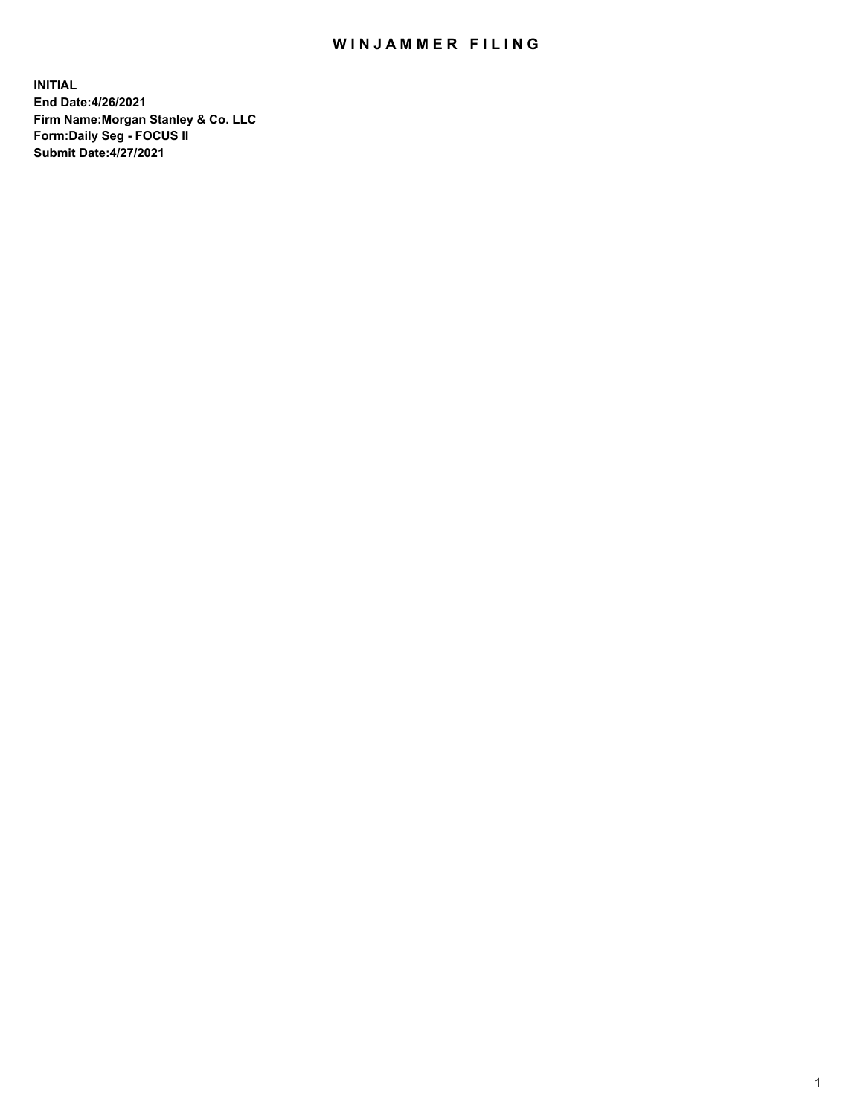## WIN JAMMER FILING

**INITIAL End Date:4/26/2021 Firm Name:Morgan Stanley & Co. LLC Form:Daily Seg - FOCUS II Submit Date:4/27/2021**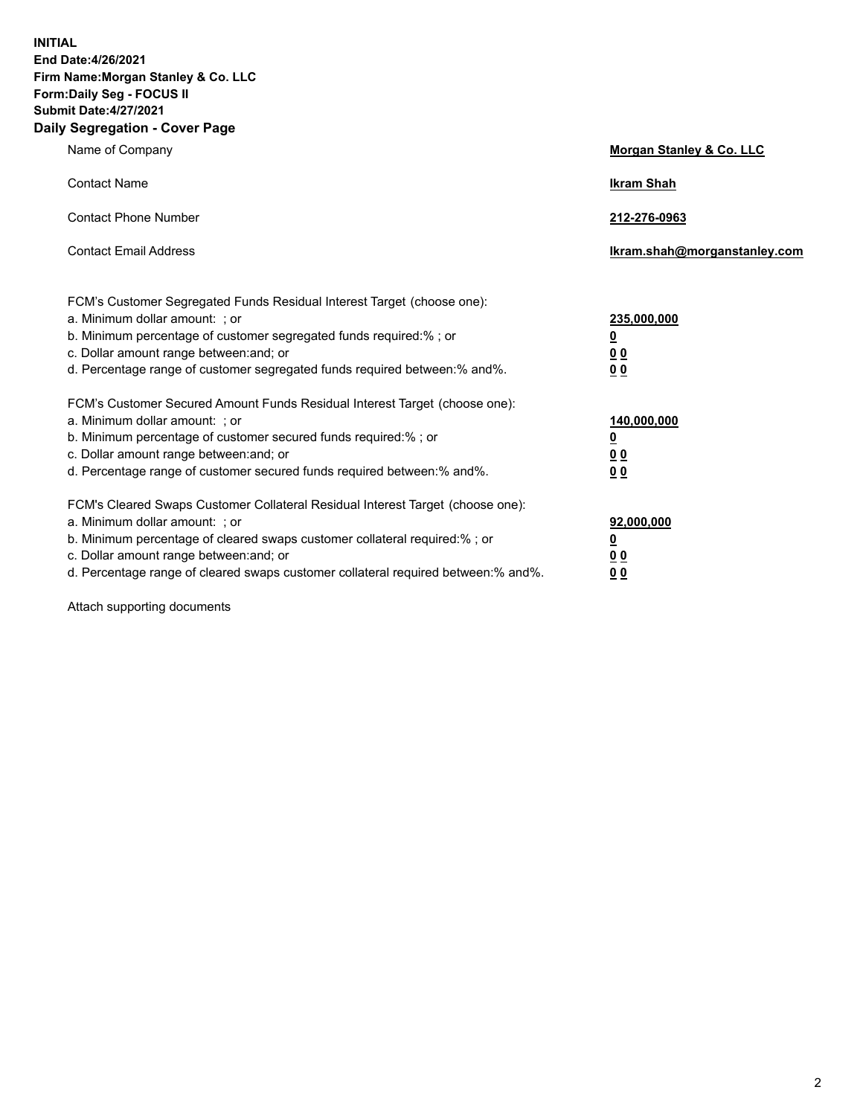**INITIAL End Date:4/26/2021 Firm Name:Morgan Stanley & Co. LLC Form:Daily Seg - FOCUS II Submit Date:4/27/2021 Daily Segregation - Cover Page**

| Name of Company                                                                                                                                                                                                                                                                                                                | <b>Morgan Stanley &amp; Co. LLC</b>                         |
|--------------------------------------------------------------------------------------------------------------------------------------------------------------------------------------------------------------------------------------------------------------------------------------------------------------------------------|-------------------------------------------------------------|
| <b>Contact Name</b>                                                                                                                                                                                                                                                                                                            | <b>Ikram Shah</b>                                           |
| <b>Contact Phone Number</b>                                                                                                                                                                                                                                                                                                    | 212-276-0963                                                |
| <b>Contact Email Address</b>                                                                                                                                                                                                                                                                                                   | Ikram.shah@morganstanley.com                                |
| FCM's Customer Segregated Funds Residual Interest Target (choose one):<br>a. Minimum dollar amount: ; or<br>b. Minimum percentage of customer segregated funds required:%; or<br>c. Dollar amount range between: and; or<br>d. Percentage range of customer segregated funds required between:% and%.                          | 235,000,000<br><u>0</u><br>0 <sub>0</sub><br>0 <sub>0</sub> |
| FCM's Customer Secured Amount Funds Residual Interest Target (choose one):<br>a. Minimum dollar amount: ; or<br>b. Minimum percentage of customer secured funds required:% ; or<br>c. Dollar amount range between: and; or<br>d. Percentage range of customer secured funds required between:% and%.                           | 140,000,000<br><u>0</u><br>0 <sub>0</sub><br>0 <sub>0</sub> |
| FCM's Cleared Swaps Customer Collateral Residual Interest Target (choose one):<br>a. Minimum dollar amount: ; or<br>b. Minimum percentage of cleared swaps customer collateral required:% ; or<br>c. Dollar amount range between: and; or<br>d. Percentage range of cleared swaps customer collateral required between:% and%. | 92,000,000<br><u>0</u><br><u>00</u><br>0 <sub>0</sub>       |

Attach supporting documents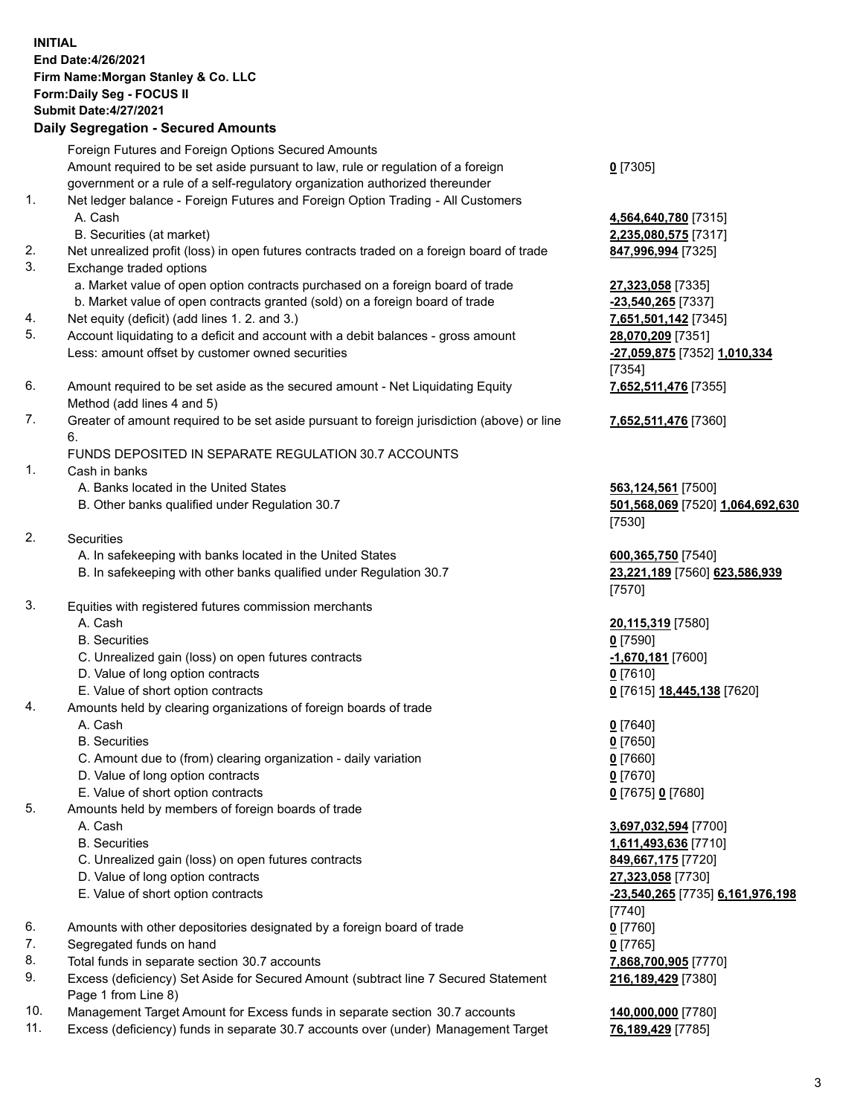## **INITIAL End Date:4/26/2021 Firm Name:Morgan Stanley & Co. LLC Form:Daily Seg - FOCUS II Submit Date:4/27/2021**

## **Daily Segregation - Secured Amounts**

Foreign Futures and Foreign Options Secured Amounts Amount required to be set aside pursuant to law, rule or regulation of a foreign government or a rule of a self-regulatory organization authorized thereunder 1. Net ledger balance - Foreign Futures and Foreign Option Trading - All Customers A. Cash **4,564,640,780** [7315] B. Securities (at market) **2,235,080,575** [7317] 2. Net unrealized profit (loss) in open futures contracts traded on a foreign board of trade **847,996,994** [7325] 3. Exchange traded options a. Market value of open option contracts purchased on a foreign board of trade **27,323,058** [7335] b. Market value of open contracts granted (sold) on a foreign board of trade **-23,540,265** [7337] 4. Net equity (deficit) (add lines 1. 2. and 3.) **7,651,501,142** [7345] 5. Account liquidating to a deficit and account with a debit balances - gross amount **28,070,209** [7351] Less: amount offset by customer owned securities **-27,059,875** [7352] **1,010,334** 6. Amount required to be set aside as the secured amount - Net Liquidating Equity Method (add lines 4 and 5) 7. Greater of amount required to be set aside pursuant to foreign jurisdiction (above) or line 6. FUNDS DEPOSITED IN SEPARATE REGULATION 30.7 ACCOUNTS 1. Cash in banks A. Banks located in the United States **563,124,561** [7500] B. Other banks qualified under Regulation 30.7 **501,568,069** [7520] **1,064,692,630** 2. Securities A. In safekeeping with banks located in the United States **600,365,750** [7540] B. In safekeeping with other banks qualified under Regulation 30.7 **23,221,189** [7560] **623,586,939** 3. Equities with registered futures commission merchants A. Cash **20,115,319** [7580]

- 
- C. Unrealized gain (loss) on open futures contracts **-1,670,181** [7600]
- D. Value of long option contracts **0** [7610]
- 
- 4. Amounts held by clearing organizations of foreign boards of trade
	-
	- B. Securities **0** [7650]
	- C. Amount due to (from) clearing organization daily variation **0** [7660]
	- D. Value of long option contracts **0** [7670]
	- E. Value of short option contracts **0** [7675] **0** [7680]
- 5. Amounts held by members of foreign boards of trade
	-
	-
	- C. Unrealized gain (loss) on open futures contracts **849,667,175** [7720]
	- D. Value of long option contracts **27,323,058** [7730]
	-
- 6. Amounts with other depositories designated by a foreign board of trade **0** [7760]
- 7. Segregated funds on hand **0** [7765]
- 8. Total funds in separate section 30.7 accounts **7,868,700,905** [7770]
- 9. Excess (deficiency) Set Aside for Secured Amount (subtract line 7 Secured Statement Page 1 from Line 8)
- 10. Management Target Amount for Excess funds in separate section 30.7 accounts **140,000,000** [7780]
- 11. Excess (deficiency) funds in separate 30.7 accounts over (under) Management Target **76,189,429** [7785]

**0** [7305]

[7354] **7,652,511,476** [7355]

**7,652,511,476** [7360]

[7530]

[7570]

 B. Securities **0** [7590] E. Value of short option contracts **0** [7615] **18,445,138** [7620]

A. Cash **0** [7640]

 A. Cash **3,697,032,594** [7700] B. Securities **1,611,493,636** [7710] E. Value of short option contracts **-23,540,265** [7735] **6,161,976,198** [7740] **216,189,429** [7380]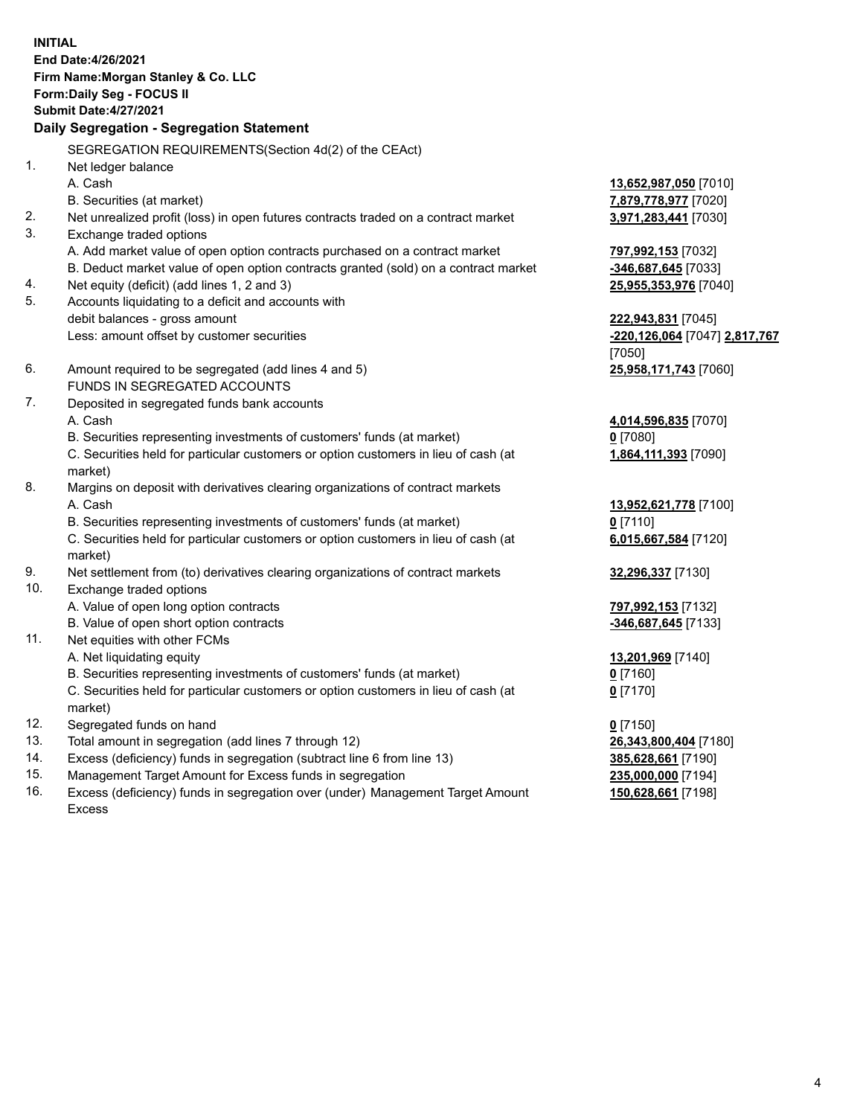**INITIAL End Date:4/26/2021 Firm Name:Morgan Stanley & Co. LLC Form:Daily Seg - FOCUS II Submit Date:4/27/2021 Daily Segregation - Segregation Statement** SEGREGATION REQUIREMENTS(Section 4d(2) of the CEAct) 1. Net ledger balance A. Cash **13,652,987,050** [7010] B. Securities (at market) **7,879,778,977** [7020] 2. Net unrealized profit (loss) in open futures contracts traded on a contract market **3,971,283,441** [7030] 3. Exchange traded options A. Add market value of open option contracts purchased on a contract market **797,992,153** [7032] B. Deduct market value of open option contracts granted (sold) on a contract market **-346,687,645** [7033] 4. Net equity (deficit) (add lines 1, 2 and 3) **25,955,353,976** [7040] 5. Accounts liquidating to a deficit and accounts with debit balances - gross amount **222,943,831** [7045] Less: amount offset by customer securities **-220,126,064** [7047] **2,817,767** [7050] 6. Amount required to be segregated (add lines 4 and 5) **25,958,171,743** [7060] FUNDS IN SEGREGATED ACCOUNTS 7. Deposited in segregated funds bank accounts A. Cash **4,014,596,835** [7070] B. Securities representing investments of customers' funds (at market) **0** [7080] C. Securities held for particular customers or option customers in lieu of cash (at market) **1,864,111,393** [7090] 8. Margins on deposit with derivatives clearing organizations of contract markets A. Cash **13,952,621,778** [7100] B. Securities representing investments of customers' funds (at market) **0** [7110] C. Securities held for particular customers or option customers in lieu of cash (at market) **6,015,667,584** [7120] 9. Net settlement from (to) derivatives clearing organizations of contract markets **32,296,337** [7130] 10. Exchange traded options A. Value of open long option contracts **797,992,153** [7132] B. Value of open short option contracts **and the set of our original contracts -346,687,645** [7133] 11. Net equities with other FCMs A. Net liquidating equity **13,201,969** [7140] B. Securities representing investments of customers' funds (at market) **0** [7160] C. Securities held for particular customers or option customers in lieu of cash (at market) **0** [7170] 12. Segregated funds on hand **0** [7150] 13. Total amount in segregation (add lines 7 through 12) **26,343,800,404** [7180] 14. Excess (deficiency) funds in segregation (subtract line 6 from line 13) **385,628,661** [7190] 15. Management Target Amount for Excess funds in segregation **235,000,000** [7194]

16. Excess (deficiency) funds in segregation over (under) Management Target Amount Excess

**150,628,661** [7198]